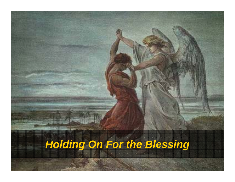# *Holding On For the Blessing*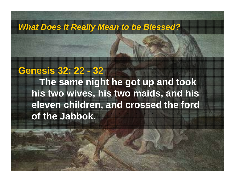# **Genesis 32: 22 - 32**

**The same night he got up and took his two wives, his two maids, and his eleven children, and crossed the ford of the Jabbok.**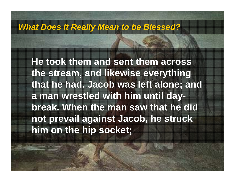**He took them and sent them across the stream, and likewise everything that he had. Jacob was left alone; and a man wrestled with him until daybreak. When the man saw that he did not prevail against Jacob, he struck him on the hip socket;**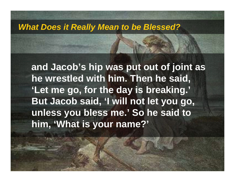**and Jacob's hip was put out of joint as he wrestled with him. Then he said, 'Let me go, for the day is breaking.' But Jacob said, 'I will not let you go, unless you bless me.' So he said to him, 'What is your name?'**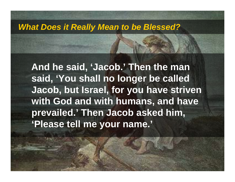**And he said, 'Jacob.' Then the man said, 'You shall no longer be called Jacob, but Israel, for you have striven with God and with humans, and have prevailed.' Then Jacob asked him, 'Please tell me your name.'**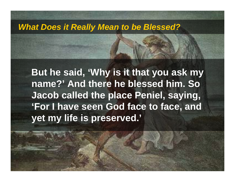**But he said, 'Why is it that you ask my name?' And there he blessed him. So Jacob called the place Peniel, saying, 'For I have seen God face to face, and yet my life is preserved.'**